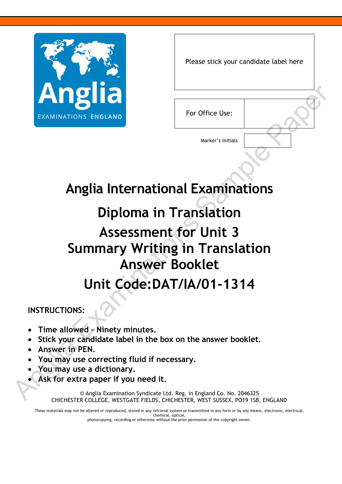

|                 | Please stick your candidate label here |
|-----------------|----------------------------------------|
| For Office Use: |                                        |

Marker's Initials

## **Anglia International Examinations**

## **Diploma in Translation Assessment for Unit 3 Summary Writing in Translation Answer Booklet Anglia International Examinations<br>
Anglia International Examinations<br>
Diploma in Translation<br>
Assessment for Unit 3<br>
Summary Writing in Translation<br>
Init Code:DAT/IA/01-1314<br>
INSTRUCTIONS:<br>
• Time allowed - Ninety minutes**

**Unit Code:DAT/IA/01-1314**

**INSTRUCTIONS:**

- **Time allowed – Ninety minutes.**
- **Stick your candidate label in the box on the answer booklet.**
- **Answer in PEN.**
- **You may use correcting fluid if necessary.**
- **You may use a dictionary.**
- **Ask for extra paper if you need it.**

© Anglia Examination Syndicate Ltd. Reg. in England Co. No. 2046325 CHICHESTER COLLEGE, WESTGATE FIELDS, CHICHESTER, WEST SUSSEX, PO19 1SB, ENGLAND

These materials may not be altered or reproduced, stored in any retrieval system or transmitted in any form or by any means, electronic, electrical, chemical, optical,

photocopying, recording or otherwise without the prior permission of the copyright owner.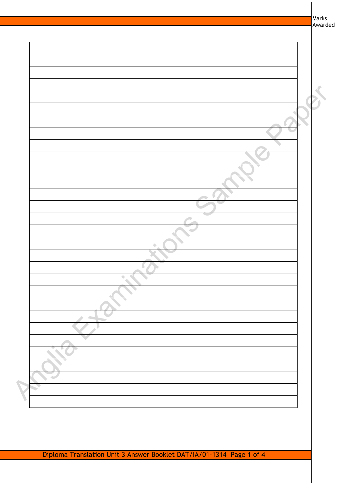| Marks<br>Awarded |
|------------------|
|                  |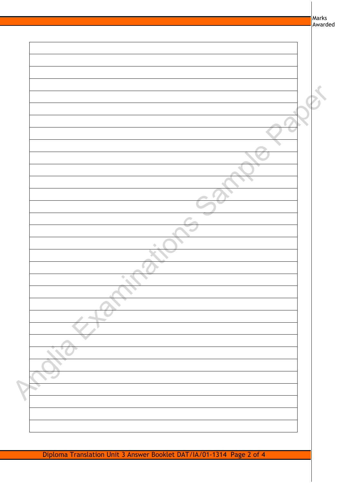| Marks<br>Awarded |
|------------------|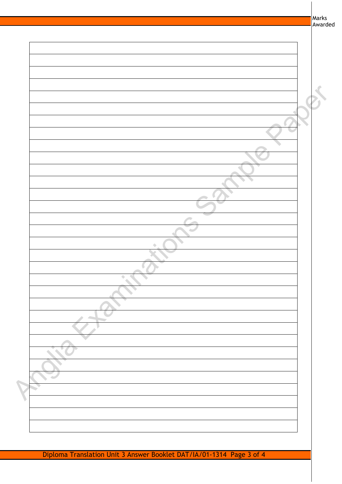| Marks<br>Awarded |
|------------------|